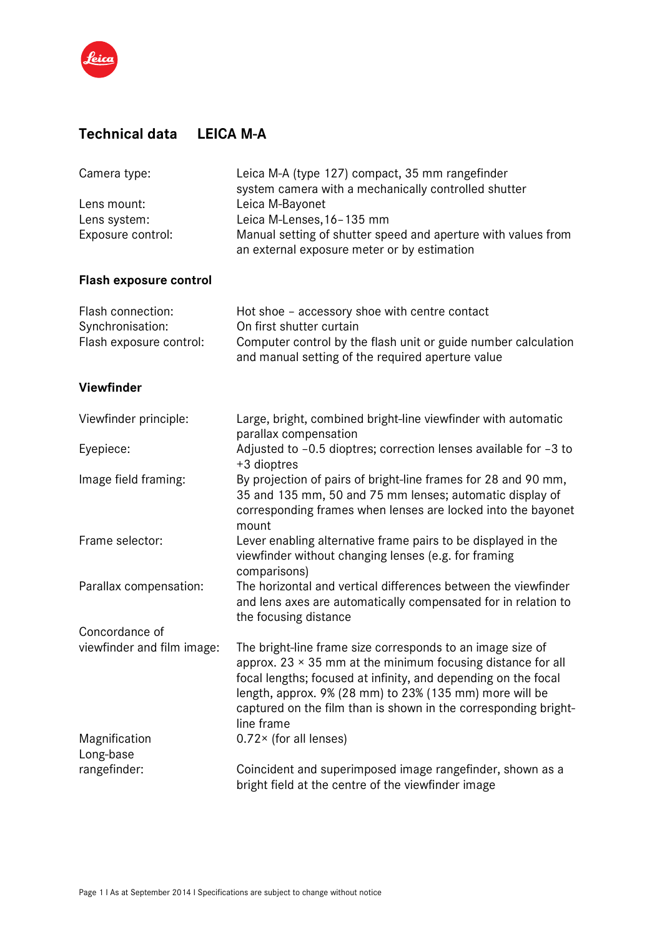

## **Technical data LEICA M-A**

| Camera type:               | Leica M-A (type 127) compact, 35 mm rangefinder<br>system camera with a mechanically controlled shutter                                                                                                    |
|----------------------------|------------------------------------------------------------------------------------------------------------------------------------------------------------------------------------------------------------|
| Lens mount:                | Leica M-Bayonet                                                                                                                                                                                            |
| Lens system:               | Leica M-Lenses, 16-135 mm                                                                                                                                                                                  |
| Exposure control:          | Manual setting of shutter speed and aperture with values from                                                                                                                                              |
|                            | an external exposure meter or by estimation                                                                                                                                                                |
| Flash exposure control     |                                                                                                                                                                                                            |
| Flash connection:          | Hot shoe - accessory shoe with centre contact                                                                                                                                                              |
| Synchronisation:           | On first shutter curtain                                                                                                                                                                                   |
| Flash exposure control:    | Computer control by the flash unit or guide number calculation<br>and manual setting of the required aperture value                                                                                        |
| <b>Viewfinder</b>          |                                                                                                                                                                                                            |
| Viewfinder principle:      | Large, bright, combined bright-line viewfinder with automatic<br>parallax compensation                                                                                                                     |
| Eyepiece:                  | Adjusted to -0.5 dioptres; correction lenses available for -3 to<br>+3 dioptres                                                                                                                            |
| Image field framing:       | By projection of pairs of bright-line frames for 28 and 90 mm,<br>35 and 135 mm, 50 and 75 mm lenses; automatic display of<br>corresponding frames when lenses are locked into the bayonet<br>mount        |
| Frame selector:            | Lever enabling alternative frame pairs to be displayed in the<br>viewfinder without changing lenses (e.g. for framing<br>comparisons)                                                                      |
| Parallax compensation:     | The horizontal and vertical differences between the viewfinder<br>and lens axes are automatically compensated for in relation to<br>the focusing distance                                                  |
| Concordance of             |                                                                                                                                                                                                            |
| viewfinder and film image: | The bright-line frame size corresponds to an image size of<br>approx. $23 \times 35$ mm at the minimum focusing distance for all                                                                           |
|                            | focal lengths; focused at infinity, and depending on the focal<br>length, approx. 9% (28 mm) to 23% (135 mm) more will be<br>captured on the film than is shown in the corresponding bright-<br>line frame |
| Magnification<br>Long-base | $0.72 \times$ (for all lenses)                                                                                                                                                                             |
| rangefinder:               | Coincident and superimposed image rangefinder, shown as a<br>bright field at the centre of the viewfinder image                                                                                            |